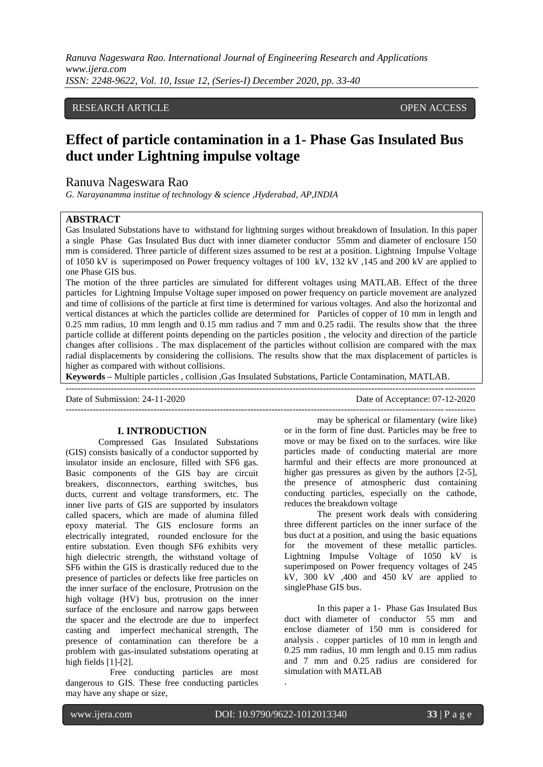# RESEARCH ARTICLE **OPEN ACCESS**

# **Effect of particle contamination in a 1- Phase Gas Insulated Bus duct under Lightning impulse voltage**

## Ranuva Nageswara Rao

*G. Narayanamma institue of technology & science ,Hyderabad, AP,INDIA*

#### **ABSTRACT**

Gas Insulated Substations have to withstand for lightning surges without breakdown of Insulation. In this paper a single Phase Gas Insulated Bus duct with inner diameter conductor 55mm and diameter of enclosure 150 mm is considered. Three particle of different sizes assumed to be rest at a position. Lightning Impulse Voltage of 1050 kV is superimposed on Power frequency voltages of 100 kV, 132 kV ,145 and 200 kV are applied to one Phase GIS bus.

The motion of the three particles are simulated for different voltages using MATLAB. Effect of the three particles for Lightning Impulse Voltage super imposed on power frequency on particle movement are analyzed and time of collisions of the particle at first time is determined for various voltages. And also the horizontal and vertical distances at which the particles collide are determined for Particles of copper of 10 mm in length and 0.25 mm radius, 10 mm length and 0.15 mm radius and 7 mm and 0.25 radii. The results show that the three particle collide at different points depending on the particles position , the velocity and direction of the particle changes after collisions . The max displacement of the particles without collision are compared with the max radial displacements by considering the collisions. The results show that the max displacement of particles is higher as compared with without collisions.

**Keywords –** Multiple particles , collision ,Gas Insulated Substations, Particle Contamination, MATLAB.

Date of Submission: 24-11-2020 Date of Acceptance: 07-12-2020

## **I. INTRODUCTION**

Compressed Gas Insulated Substations (GIS) consists basically of a conductor supported by insulator inside an enclosure, filled with SF6 gas. Basic components of the GIS bay are circuit breakers, disconnectors, earthing switches, bus ducts, current and voltage transformers, etc. The inner live parts of GIS are supported by insulators called spacers, which are made of alumina filled epoxy material. The GIS enclosure forms an electrically integrated, rounded enclosure for the entire substation. Even though SF6 exhibits very high dielectric strength, the withstand voltage of SF6 within the GIS is drastically reduced due to the presence of particles or defects like free particles on the inner surface of the enclosure, Protrusion on the high voltage (HV) bus, protrusion on the inner surface of the enclosure and narrow gaps between the spacer and the electrode are due to imperfect casting and imperfect mechanical strength, The presence of contamination can therefore be a problem with gas-insulated substations operating at high fields [1]-[2].

 Free conducting particles are most dangerous to GIS. These free conducting particles may have any shape or size,

-------------------------------------------------------------------------------------------------------------------------------------- may be spherical or filamentary (wire like) or in the form of fine dust. Particles may be free to move or may be fixed on to the surfaces. wire like particles made of conducting material are more harmful and their effects are more pronounced at higher gas pressures as given by the authors  $[2-5]$ , the presence of atmospheric dust containing conducting particles, especially on the cathode, reduces the breakdown voltage

> The present work deals with considering three different particles on the inner surface of the bus duct at a position, and using the basic equations for the movement of these metallic particles. Lightning Impulse Voltage of 1050 kV is superimposed on Power frequency voltages of 245 kV,  $300$  kV ,  $400$  and  $450$  kV are applied to singlePhase GIS bus.

> In this paper a 1- Phase Gas Insulated Bus duct with diameter of conductor 55 mm and enclose diameter of 150 mm is considered for analysis . copper particles of 10 mm in length and 0.25 mm radius, 10 mm length and 0.15 mm radius and 7 mm and 0.25 radius are considered for simulation with MATLAB

.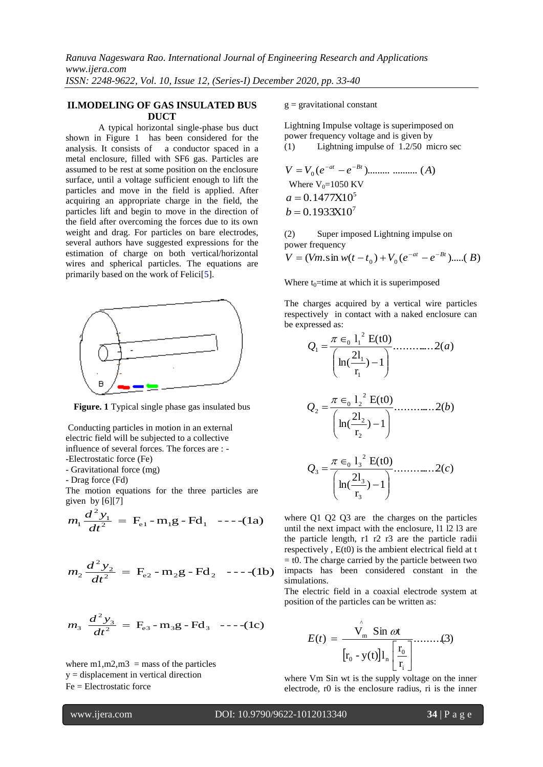## **II.MODELING OF GAS INSULATED BUS DUCT**

A typical horizontal single-phase bus duct shown in Figure 1 has been considered for the analysis. It consists of a conductor spaced in a metal enclosure, filled with SF6 gas. Particles are assumed to be rest at some position on the enclosure surface, until a voltage sufficient enough to lift the particles and move in the field is applied. After acquiring an appropriate charge in the field, the particles lift and begin to move in the direction of the field after overcoming the forces due to its own weight and drag. For particles on bare electrodes, several authors have suggested expressions for the estimation of charge on both vertical/horizontal wires and spherical particles. The equations are primarily based on the work of Felici[5].



**Figure. 1** Typical single phase gas insulated bus

Conducting particles in motion in an external electric field will be subjected to a collective influence of several forces. The forces are : - -Electrostatic force (Fe)

- Gravitational force (mg)

- Drag force (Fd)

The motion equations for the three particles are given by  $[6][7]$ 

$$
m_1 \frac{d^2 y_1}{dt^2} = F_{e1} - m_1 g - Fd_1 \quad --- (1a)
$$

$$
m_2 \frac{d^2 y_2}{dt^2} = F_{e2} - m_2 g - Fd_2
$$
 --- (1b)

$$
m_3 \frac{d^2 y_3}{dt^2} = F_{e3} - m_3 g - Fd_3 \ \ \text{---}(1c)
$$

where m1, m2, m3 = mass of the particles y = displacement in vertical direction Fe = Electrostatic force

 $g =$  gravitational constant

Lightning Impulse voltage is superimposed on power frequency voltage and is given by (1) Lightning impulse of 1.2/50 micro sec

$$
V = V_0 (e^{-at} - e^{-Bt})
$$
................. (A)  
Where V<sub>0</sub>=1050 KV  
 $a = 0.1477X10^5$   
 $b = 0.1933X10^7$ 

(2) Super imposed Lightning impulse on power frequency

$$
V = (Vm.\sin w(t - t_0) + V_0(e^{-at} - e^{-Bt})\text{....(}B)
$$

Where  $t_0$ =time at which it is superimposed

The charges acquired by a vertical wire particles respectively in contact with a naked enclosure can be expressed as:

$$
Q_{1} = \frac{\pi \epsilon_{0} 1_{1}^{2} E(t0)}{\left(\ln(\frac{2l_{1}}{r_{1}}) - 1\right)}
$$
............ 2(*a*)  
\n
$$
Q_{2} = \frac{\pi \epsilon_{0} 1_{2}^{2} E(t0)}{\left(\ln(\frac{2l_{2}}{r_{2}}) - 1\right)}
$$
............ 2(*b*)  
\n
$$
Q_{3} = \frac{\pi \epsilon_{0} 1_{3}^{2} E(t0)}{\left(\ln(\frac{2l_{3}}{r_{3}}) - 1\right)}
$$
............ 2(*c*)

where Q1 Q2 Q3 are the charges on the particles until the next impact with the enclosure, l1 l2 l3 are the particle length, r1 r2 r3 are the particle radii respectively , E(t0) is the ambient electrical field at t  $=$  t0. The charge carried by the particle between two impacts has been considered constant in the simulations.

The electric field in a coaxial electrode system at position of the particles can be written as:

$$
E(t) = \frac{\hat{V_m} \sin \omega t}{\left[r_0 - y(t)\right]l_n \left[\frac{r_0}{r_i}\right]}\dots \dots \dots (3)
$$

where Vm Sin wt is the supply voltage on the inner electrode, r0 is the enclosure radius, ri is the inner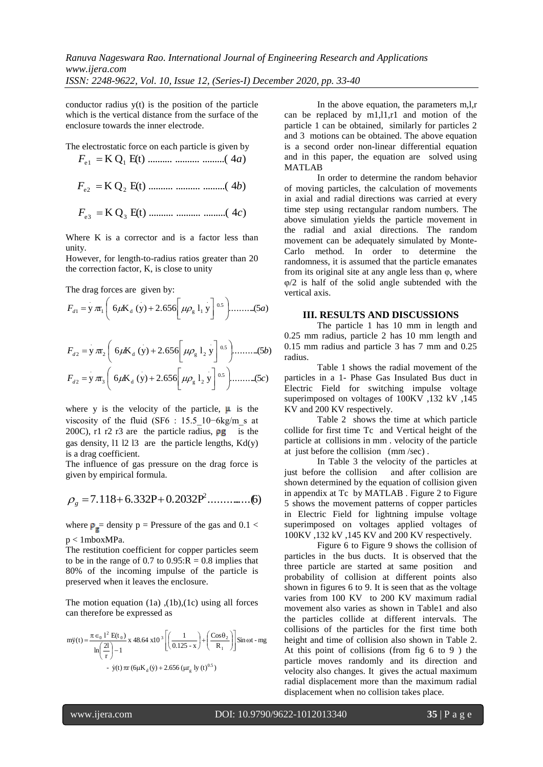conductor radius  $y(t)$  is the position of the particle which is the vertical distance from the surface of the enclosure towards the inner electrode.

The electrostatic force on each particle is given by

$$
F_{\rm el} = {\rm K} \, {\rm Q}_{1} \, {\rm E}(t) \, \dots \, \dots \, \dots \, \dots \, \dots \, \dots \, (4a)
$$

$$
F_{e2} = K Q_2 E(t) \dots \dots \dots \dots \dots \dots \dots (4b)
$$

$$
F_{e3} = K Q_3 E(t) \dots \dots \dots \dots \dots \dots \dots (4c)
$$

Where K is a corrector and is a factor less than unity.

However, for length-to-radius ratios greater than 20 the correction factor, K, is close to unity

The drag forces are given by:

$$
F_{d1} = y \pi_1 \left( 6 \mu K_d \left( y \right) + 2.656 \left[ \mu \rho_g 1_1 y \right] {}^{0.5} \right) \dots \dots \dots (5a)
$$

$$
F_{d2} = y \pi_2 \left( 6 \mu K_d (y) + 2.656 \left[ \mu \rho_g 1_2 y \right]^{0.5} \right) \dots \dots \dots (5b)
$$
  

$$
F_{d2} = y \pi_3 \left( 6 \mu K_d (y) + 2.656 \left[ \mu \rho_g 1_2 y \right]^{0.5} \right) \dots \dots \dots (5c)
$$

where y is the velocity of the particle,  $\mu$  is the viscosity of the fluid (SF6 : 15.5\_10−6kg/m\_s at 200C), r1 r2 r3 are the particle radius,  $pg$  is the gas density,  $11 12 13$  are the particle lengths,  $Kd(y)$ is a drag coefficient.

The influence of gas pressure on the drag force is given by empirical formula.

$$
\rho_g = 7.118 + 6.332P + 0.2032P^2 \dots \dots \dots \dots (6)
$$

where  $\rho_{\rm g}$  = density p = Pressure of the gas and 0.1 < p < 1mboxMPa.

The restitution coefficient for copper particles seem to be in the range of 0.7 to  $0.95$ : $R = 0.8$  implies that 80% of the incoming impulse of the particle is preserved when it leaves the enclosure.

The motion equation (1a) ,(1b),(1c) using all forces can therefore be expressed as

$$
m\ddot{y}(t) = \frac{\pi \epsilon_0 1^2 E(t_0)}{\ln(\frac{2l}{r}) - 1} x 48.64 x 10^3 \left[ \left( \frac{1}{0.125 - x} \right) + \left( \frac{Cos\theta_2}{R_1} \right) \right] \sin \omega t - mg
$$
  
-  $\dot{y}(t) \pi r (6\mu K_d(\dot{y}) + 2.656 (\mu r_g) y (t)^{0.5})$ 

In the above equation, the parameters m,l,r can be replaced by m1,l1,r1 and motion of the particle 1 can be obtained, similarly for particles 2 and 3 motions can be obtained. The above equation is a second order non-linear differential equation and in this paper, the equation are solved using MATLAB

In order to determine the random behavior of moving particles, the calculation of movements in axial and radial directions was carried at every time step using rectangular random numbers. The above simulation yields the particle movement in the radial and axial directions. The random movement can be adequately simulated by Monte-Carlo method. In order to determine the randomness, it is assumed that the particle emanates from its original site at any angle less than  $\varphi$ , where φ/2 is half of the solid angle subtended with the vertical axis.

## **III. RESULTS AND DISCUSSIONS**

The particle 1 has 10 mm in length and 0.25 mm radius, particle 2 has 10 mm length and 0.15 mm radius and particle 3 has 7 mm and 0.25 radius.

Table 1 shows the radial movement of the particles in a 1- Phase Gas Insulated Bus duct in Electric Field for switching impulse voltage superimposed on voltages of 100KV ,132 kV ,145 KV and 200 KV respectively.

Table 2 shows the time at which particle collide for first time Tc and Vertical height of the particle at collisions in mm . velocity of the particle at just before the collision (mm /sec) .

In Table 3 the velocity of the particles at just before the collision and after collision are shown determined by the equation of collision given in appendix at Tc by MATLAB . Figure 2 to Figure 5 shows the movement patterns of copper particles in Electric Field for lightning impulse voltage superimposed on voltages applied voltages of 100KV ,132 kV ,145 KV and 200 KV respectively.

Figure 6 to Figure 9 shows the collision of particles in the bus ducts. It is observed that the three particle are started at same position and probability of collision at different points also shown in figures 6 to 9. It is seen that as the voltage varies from 100 KV to 200 KV maximum radial movement also varies as shown in Table1 and also the particles collide at different intervals. The collisions of the particles for the first time both height and time of collision also shown in Table 2. At this point of collisions (from fig 6 to 9 ) the particle moves randomly and its direction and velocity also changes. It gives the actual maximum radial displacement more than the maximum radial displacement when no collision takes place.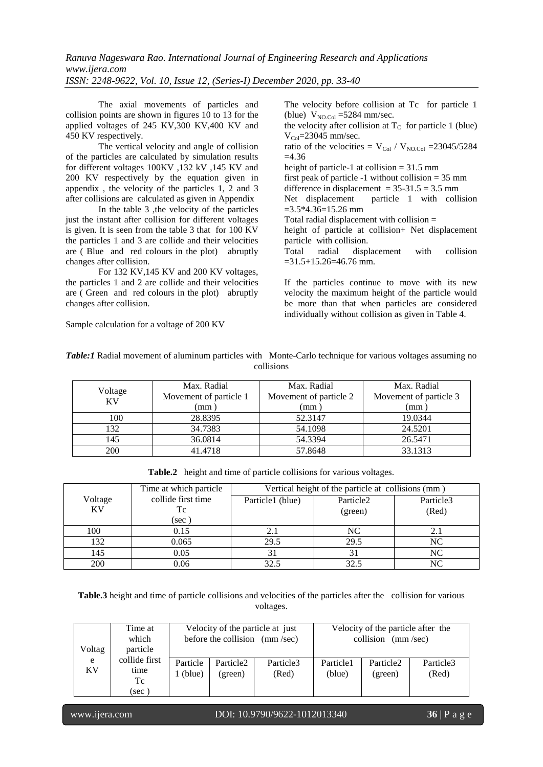The axial movements of particles and collision points are shown in figures 10 to 13 for the applied voltages of 245 KV,300 KV,400 KV and 450 KV respectively.

The vertical velocity and angle of collision of the particles are calculated by simulation results for different voltages 100KV ,132 kV ,145 KV and 200 KV respectively by the equation given in appendix , the velocity of the particles 1, 2 and 3 after collisions are calculated as given in Appendix

In the table 3 ,the velocity of the particles just the instant after collision for different voltages is given. It is seen from the table 3 that for 100 KV the particles 1 and 3 are collide and their velocities are ( Blue and red colours in the plot) abruptly changes after collision.

For 132 KV,145 KV and 200 KV voltages, the particles 1 and 2 are collide and their velocities are ( Green and red colours in the plot) abruptly changes after collision.

Sample calculation for a voltage of 200 KV

The velocity before collision at Tc for particle 1 (blue)  $V_{NO,Col}$  =5284 mm/sec.

the velocity after collision at  $T_c$  for particle 1 (blue)  $V_{\text{Col}}$ =23045 mm/sec.

ratio of the velocities =  $V_{\text{Col}}$  /  $V_{\text{NO,Col}}$  = 23045/5284  $=4.36$ 

height of particle-1 at collision = 31.5 mm first peak of particle  $-1$  without collision  $= 35$  mm difference in displacement =  $35-31.5 = 3.5$  mm Net displacement particle 1 with collision  $=3.5*4.36=15.26$  mm

Total radial displacement with collision =

height of particle at collision+ Net displacement particle with collision.

Total radial displacement with collision  $=31.5+15.26=46.76$  mm.

If the particles continue to move with its new velocity the maximum height of the particle would be more than that when particles are considered individually without collision as given in Table 4.

| Table: I Radial movement of aluminum particles with Monte-Carlo technique for various voltages assuming no |
|------------------------------------------------------------------------------------------------------------|
| collisions                                                                                                 |

| Voltage<br><b>KV</b> | Max. Radial            | Max. Radial            | Max. Radial            |  |
|----------------------|------------------------|------------------------|------------------------|--|
|                      | Movement of particle 1 | Movement of particle 2 | Movement of particle 3 |  |
|                      | mm)                    | (mm                    | mm)                    |  |
| 100                  | 28.8395                | 52.3147                | 19.0344                |  |
| 132                  | 34.7383                | 54.1098                | 24.5201                |  |
| 145                  | 36.0814                | 54.3394                | 26.5471                |  |
| 200                  | 41.4718                | 57.8648                | 33.1313                |  |

**Table.2** height and time of particle collisions for various voltages.

|           | Time at which particle | Vertical height of the particle at collisions (mm) |                       |                   |  |
|-----------|------------------------|----------------------------------------------------|-----------------------|-------------------|--|
| Voltage   | collide first time     | Particle1 (blue)                                   | Particle <sub>2</sub> | Particle3         |  |
| <b>KV</b> | Тc                     |                                                    | (green)               | (Red)             |  |
|           | (sec                   |                                                    |                       |                   |  |
| 100       | 0.15                   |                                                    | <b>NC</b>             | $\mathcal{L}$ . 1 |  |
| 132       | 0.065                  | 29.5                                               | 29.5                  | NC                |  |
| 145       | 0.05                   |                                                    | 31                    | <b>NC</b>         |  |
| 200       | 0.06                   | 32.5                                               | 32.5                  | NC                |  |

**Table.3** height and time of particle collisions and velocities of the particles after the collision for various voltages.

| Time at<br>which<br>particle<br>Voltag |                                     | Velocity of the particle at just<br>before the collision (mm/sec) |                                  |                    | Velocity of the particle after the<br>collision<br>(mm/sec) |                                  |                    |
|----------------------------------------|-------------------------------------|-------------------------------------------------------------------|----------------------------------|--------------------|-------------------------------------------------------------|----------------------------------|--------------------|
| e<br>KV                                | collide first<br>time<br>Tc<br>(sec | Particle<br>l (blue)                                              | Particle <sub>2</sub><br>(green) | Particle3<br>(Red) | Particle1<br>(blue)                                         | Particle <sub>2</sub><br>(green) | Particle3<br>(Red) |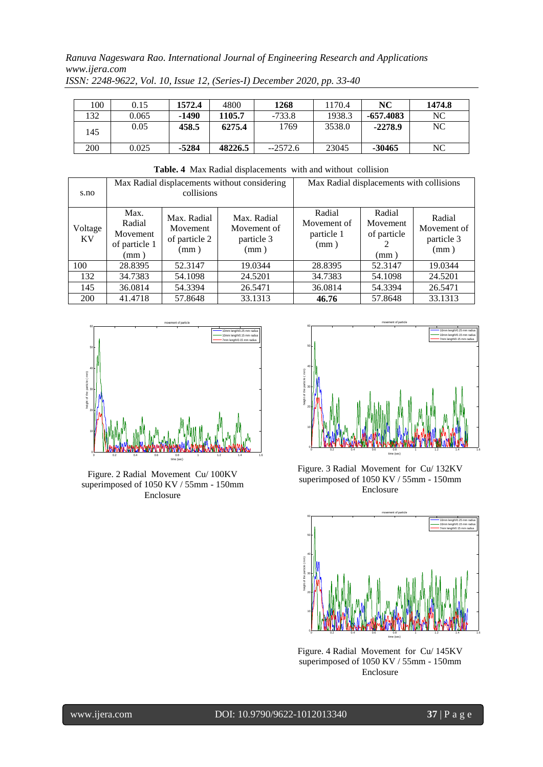| 100 | 0.15  | 1572.4  | 4800    | 1268      | 1170.4 | NC          | 1474.8 |
|-----|-------|---------|---------|-----------|--------|-------------|--------|
| 132 | 0.065 | -1490   | 1105.7  | $-733.8$  | 1938.3 | $-657.4083$ | NC     |
| 145 | 0.05  | 458.5   | 6275.4  | 1769      | 3538.0 | $-2278.9$   | NC     |
| 200 | 0.025 | $-5284$ | 48226.5 | $-2572.6$ | 23045  | -30465      | NC     |

**Table. 4** Max Radial displacements with and without collision

| s.no                 |                                                           | collisions                                       | Max Radial displacements without considering     | Max Radial displacements with collisions    |                                           |                                             |
|----------------------|-----------------------------------------------------------|--------------------------------------------------|--------------------------------------------------|---------------------------------------------|-------------------------------------------|---------------------------------------------|
| Voltage<br><b>KV</b> | Max.<br>Radial<br>Movement<br>of particle 1<br>$\pmod{m}$ | Max. Radial<br>Movement<br>of particle 2<br>(mm) | Max. Radial<br>Movement of<br>particle 3<br>(mm) | Radial<br>Movement of<br>particle 1<br>(mm) | Radial<br>Movement<br>of particle<br>(mm) | Radial<br>Movement of<br>particle 3<br>(mm) |
| 100                  | 28.8395                                                   | 52.3147                                          | 19.0344                                          | 28.8395                                     | 52.3147                                   | 19.0344                                     |
| 132                  | 34.7383                                                   | 54.1098                                          | 24.5201                                          | 34.7383                                     | 54.1098                                   | 24.5201                                     |
| 145                  | 36.0814                                                   | 54.3394                                          | 26.5471                                          | 36.0814                                     | 54.3394                                   | 26.5471                                     |
| 200                  | 41.4718                                                   | 57.8648                                          | 33.1313                                          | 46.76                                       | 57.8648                                   | 33.1313                                     |



Figure. 2 Radial Movement Cu/ 100KV superimposed of 1050 KV / 55mm - 150mm Enclosure



Figure. 3 Radial Movement for Cu/ 132KV superimposed of 1050 KV / 55mm - 150mm Enclosure



Figure. 4 Radial Movement for Cu/ 145KV superimposed of 1050 KV / 55mm - 150mm Enclosure

www.ijera.com DOI: 10.9790/9622-1012013340 **37** | P a g e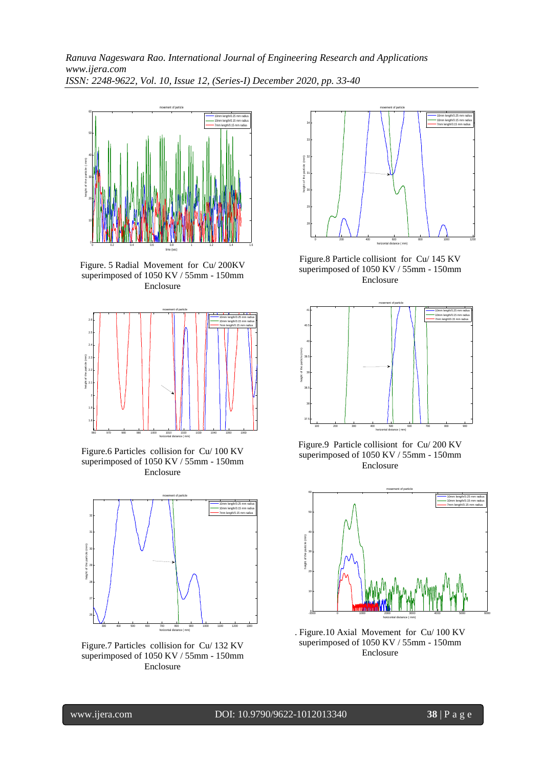

Figure. 5 Radial Movement for Cu/ 200KV superimposed of 1050 KV / 55mm - 150mm Enclosure



Figure.6 Particles collision for Cu/ 100 KV superimposed of 1050 KV / 55mm - 150mm Enclosure



Figure.7 Particles collision for Cu/ 132 KV superimposed of 1050 KV / 55mm - 150mm Enclosure



Figure.8 Particle collisiont for Cu/ 145 KV superimposed of 1050 KV / 55mm - 150mm Enclosure



Figure.9 Particle collisiont for Cu/ 200 KV superimposed of 1050 KV / 55mm - 150mm Enclosure



. Figure.10 Axial Movement for Cu/ 100 KV superimposed of 1050 KV / 55mm - 150mm Enclosure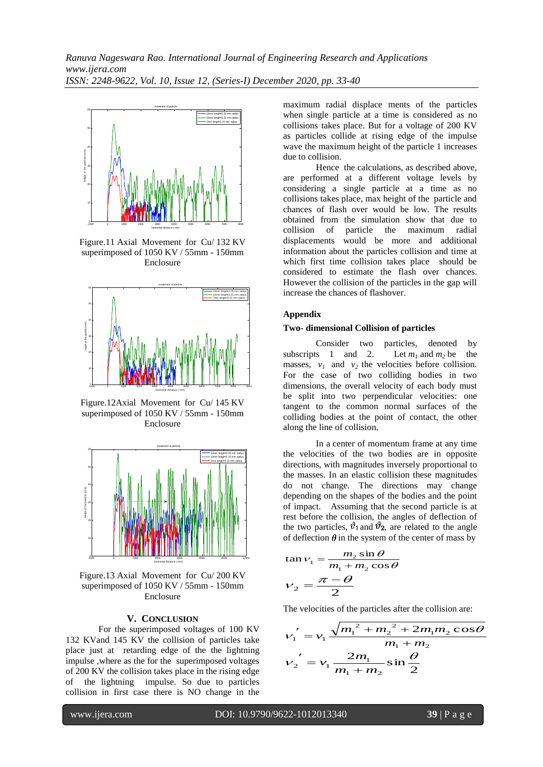

Figure.11 Axial Movement for Cu/ 132 KV superimposed of 1050 KV / 55mm - 150mm Enclosure



Figure.12Axial Movement for Cu/ 145 KV superimposed of 1050 KV / 55mm - 150mm Enclosure



Figure.13 Axial Movement for Cu/ 200 KV superimposed of 1050 KV / 55mm - 150mm Enclosure

#### **V. CONCLUSION**

For the superimposed voltages of 100 KV 132 KVand 145 KV the collision of particles take place just at retarding edge of the the lightning impulse ,where as the for the superimposed voltages of 200 KV the collision takes place in the rising edge of the lightning impulse. So due to particles collision in first case there is NO change in the

maximum radial displace ments of the particles when single particle at a time is considered as no collisions takes place. But for a voltage of 200 KV as particles collide at rising edge of the impulse wave the maximum height of the particle 1 increases due to collision.

Hence the calculations, as described above, are performed at a different voltage levels by considering a single particle at a time as no collisions takes place, max height of the particle and chances of flash over would be low. The results obtained from the simulation show that due to collision of particle the maximum radial displacements would be more and additional information about the particles collision and time at which first time collision takes place should be considered to estimate the flash over chances. However the collision of the particles in the gap will increase the chances of flashover.

#### **Appendix**

#### **Two- dimensional Collision of particles**

Consider two particles, denoted by subscripts 1 and 2. Let  $m_1$  and  $m_2$  be the masses,  $v_1$  and  $v_2$  the velocities before collision. For the case of two colliding bodies in two dimensions, the overall velocity of each body must be split into two perpendicular velocities: one tangent to the common normal surfaces of the colliding bodies at the point of contact, the other along the line of collision.

In a [center of momentum frame](http://en.wikipedia.org/wiki/Center_of_momentum_frame) at any time the velocities of the two bodies are in opposite directions, with magnitudes inversely proportional to the masses. In an elastic collision these magnitudes do not change. The directions may change depending on the shapes of the bodies and the point of impact. Assuming that the second particle is at rest before the collision, the angles of deflection of the two particles,  $\vartheta_1$  and  $\vartheta_2$ , are related to the angle of deflection  $\theta$  in the system of the center of mass by

$$
\tan \nu_1 = \frac{m_2 \sin \theta}{m_1 + m_2 \cos \theta}
$$

$$
\nu_2 = \frac{\pi - \theta}{2}
$$

The velocities of the particles after the collision are:

$$
v_1' = v_1 \frac{\sqrt{m_1^2 + m_2^2 + 2m_1m_2\cos\theta}}{m_1 + m_2}
$$
  

$$
v_2' = v_1 \frac{2m_1}{m_1 + m_2} \sin\frac{\theta}{2}
$$